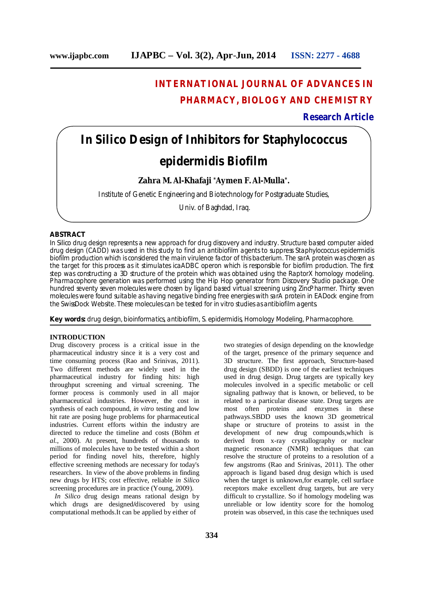## **INTERNATIONAL JOURNAL OF ADVANCES IN PHARMACY, BIOLOGY AND CHEMISTRY**

### **Research Article**

# *In Silico* **Design of Inhibitors for** *Staphylococcus epidermidis* **Biofilm**

### **Zahra M. Al-Khafaji \*Aymen F. Al-Mulla\* .**

Institute of Genetic Engineering and Biotechnology for Postgraduate Studies,

Univ. of Baghdad, Iraq.

### **ABSTRACT**

*In Silico* drug design represents a new approach for drug discovery and industry. Structure based computer aided drug design (CADD) was used in this study to find an antibiofilm agents to suppress *Staphylococcus epidermidis*  biofilm production which is considered the main virulence factor of this bacterium. The sarA protein was chosen as the target for this process as it stimulates *ica*ADBC operon which is responsible for biofilm production. The first step was constructing a 3D structure of the protein which was obtained using the RaptorX homology modeling. Pharmacophore generation was performed using the Hip Hop generator from Discovery Studio package. One hundred seventy seven molecules were chosen by ligand based virtual screening using ZincPharmer. Thirty seven molecules were found suitable as having negative binding free energies with sarA protein in EADock engine from the SwissDock Website. These molecules can be tested for *in vitro* studies as antibiofilm agents.

**Key words:** drug design, bioinformatics, antibiofilm, *S. epidermidis*, Homology Modeling, Pharmacophore.

### **INTRODUCTION**

Drug discovery process is a critical issue in the pharmaceutical industry since it is a very cost and time consuming process (Rao and Srinivas, 2011). Two different methods are widely used in the pharmaceutical industry for finding hits: high throughput screening and virtual screening. The former process is commonly used in all major pharmaceutical industries. However, the cost in synthesis of each compound, *in vitro* testing and low hit rate are posing huge problems for pharmaceutical industries. Current efforts within the industry are directed to reduce the timeline and costs (Böhm *et al.*, 2000). At present, hundreds of thousands to millions of molecules have to be tested within a short period for finding novel hits, therefore, highly effective screening methods are necessary for today's researchers. In view of the above problems in finding new drugs by HTS; cost effective, reliable *in Silico*  screening procedures are in practice (Young, 2009).

 *In Silico* drug design means rational design by which drugs are designed**/**discovered by using computational methods.It can be applied by either of

two strategies of design depending on the knowledge of the target, presence of the primary sequence and 3D structure. The first approach, Structure-based drug design (SBDD) is one of the earliest techniques used in drug design. Drug targets are typically key molecules involved in a specific metabolic or cell signaling pathway that is known, or believed, to be related to a particular disease state. Drug targets are most often proteins and enzymes in these pathways.SBDD uses the known 3D geometrical shape or structure of proteins to assist in the development of new drug compounds,which is derived from x-ray crystallography or nuclear magnetic resonance (NMR) techniques that can resolve the structure of proteins to a resolution of a few angstroms (Rao and Srinivas, 2011). The other approach is ligand based drug design which is used when the target is unknown, for example, cell surface receptors make excellent drug targets, but are very difficult to crystallize. So if homology modeling was unreliable or low identity score for the homolog protein was observed, in this case the techniques used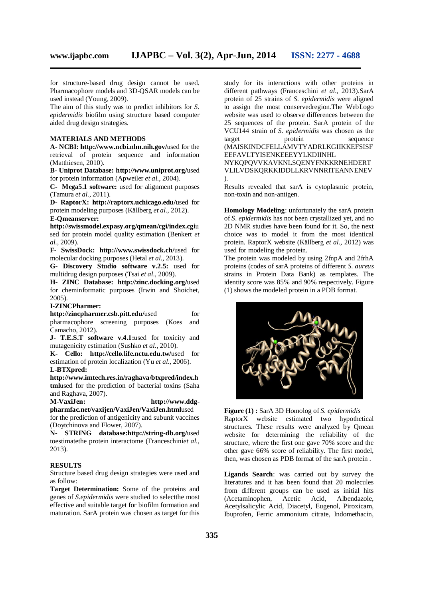for structure-based drug design cannot be used. Pharmacophore models and 3D-QSAR models can be used instead (Young, 2009).

The aim of this study was to predict inhibitors for *S. epidermidis* biofilm using structure based computer aided drug design strategies.

### **MATERIALS AND METHODS**

**A- NCBI: http://www.ncbi.nlm.nih.gov/**used for the retrieval of protein sequence and information (Matthiesen, 2010).

**B- Uniprot Database: http://www.uniprot.org/**used for protein information (Apweiler *et al.*, 2004).

**C- Mega5.1 software:** used for alignment purposes (Tamura *et al.*, 2011).

**D- RaptorX: http://raptorx.uchicago.edu/**used for protein modeling purposes (Källberg *et al.*, 2012). **E-Qmeanserver:** 

**http://swissmodel.expasy.org/qmean/cgi/index.cgi**u sed for protein model quality estimation (Benkert *et al.*, 2009).

**F- SwissDock: http://www.swissdock.ch/**used for molecular docking purposes (Hetal *et al.*, 2013).

**G- Discovery Studio software v.2.5:** used for multidrug design purposes (Tsai *et al*., 2009).

**H- ZINC Database: http://zinc.docking.org/**used for cheminformatic purposes (Irwin and Shoichet, 2005).

### **I-ZINCPharmer:**

**http://zincpharmer.csb.pitt.edu/used for** pharmacophore screening purposes (Koes and Camacho, 2012).

**J- T.E.S.T software v.4.1:**used for toxicity and mutagenicity estimation (Sushko *et al*., 2010).

**K- Cello: http://cello.life.nctu.edu.tw/**used for estimation of protein localization (Yu *et al*., 2006).

### **L-BTXpred:**

**http://www.imtech.res.in/raghava/btxpred/index.h tml**used for the prediction of bacterial toxins (Saha and Raghava, 2007).<br>M-VaxiJen:

http://www.ddg**pharmfac.net/vaxijen/VaxiJen/VaxiJen.html**used

for the prediction of antigenicity and subunit vaccines (Doytchinova and Flower, 2007).

**N- STRING database:http://string-db.org/**used toestimatethe protein interactome (Franceschini*et al.*, 2013).

### **RESULTS**

Structure based drug design strategies were used and as follow:

**Target Determination:** Some of the proteins and genes of *S.epidermidis* were studied to selectthe most effective and suitable target for biofilm formation and maturation. SarA protein was chosen as target for this

study for its interactions with other proteins in different pathways (Franceschini *et al*., 2013).SarA protein of 25 strains of *S. epidermidis* were aligned to assign the most conservedregion.The WebLogo website was used to observe differences between the 25 sequences of the protein. SarA protein of the VCU144 strain of *S. epidermidis* was chosen as the target protein sequence (MAISKINDCFELLAMVTYADRLKGIIKKEFSISF EEFAVLTYISENKEEEYYLKDIINHL

NYKQPQVVKAVKNLSQENYFNKKRNEHDERT VLILVDSKQRKKIDDLLKRVNNRITEANNENEV ).

Results revealed that sarA is cytoplasmic protein, non-toxin and non-antigen.

**Homology Modeling**: unfortunately the sarA protein of *S. epidermidis* has not been crystallized yet, and no 2D NMR studies have been found for it. So, the next choice was to model it from the most identical protein. RaptorX website (Källberg *et al.*, 2012) was used for modeling the protein.

The protein was modeled by using 2fnpA and 2frhA proteins (codes of sarA proteins of different *S. aureus* strains in Protein Data Bank) as templates. The identity score was 85% and 90% respectively. Figure (1) shows the modeled protein in a PDB format.



**Figure (1) :** SarA 3D Homolog of *S. epidermidis* RaptorX website estimated two hypothetical structures. These results were analyzed by Qmean website for determining the reliability of the structure, where the first one gave 70% score and the other gave 66% score of reliability. The first model, then, was chosen as PDB format of the sarA protein .

**Ligands Search**: was carried out by survey the literatures and it has been found that 20 molecules from different groups can be used as initial hits (Acetaminophen, Acetic Acid, Albendazole, Acetylsalicylic Acid, Diacetyl, Eugenol, Piroxicam, Ibuprofen, Ferric ammonium citrate, Indomethacin,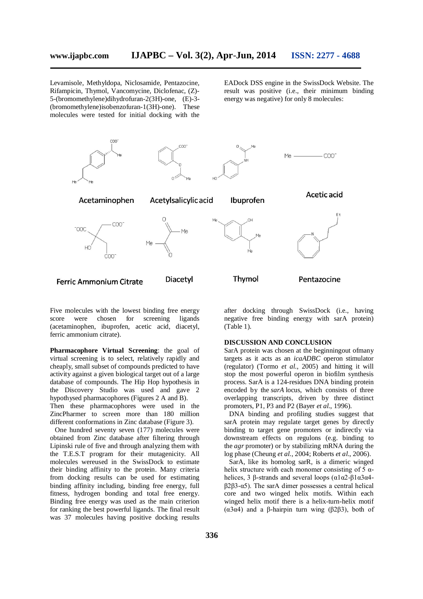Levamisole, Methyldopa, Niclosamide, Pentazocine, Rifampicin, Thymol, Vancomycine, Diclofenac, (Z)- 5-(bromomethylene)dihydrofuran-2(3H)-one, (E)-3- (bromomethylene)isobenzofuran-1(3H)-one). These molecules were tested for initial docking with the

EADock DSS engine in the SwissDock Website. The result was positive (i.e., their minimum binding energy was negative) for only 8 molecules:



Five molecules with the lowest binding free energy score were chosen for screening ligands (acetaminophen, ibuprofen, acetic acid, diacetyl, ferric ammonium citrate).

**Pharmacophore Virtual Screening**: the goal of virtual screening is to select, relatively rapidly and cheaply, small subset of compounds predicted to have activity against a given biological target out of a large database of compounds. The Hip Hop hypothesis in the Discovery Studio was used and gave 2 hypothysed pharmacophores (Figures 2 A and B). Then these pharmacophores were used in the ZincPharmer to screen more than 180 million different conformations in Zinc database (Figure 3).

 One hundred seventy seven (177) molecules were obtained from Zinc database after filtering through Lipinski rule of five and through analyzing them with the T.E.S.T program for their mutagenicity. All molecules wereused in the SwissDock to estimate their binding affinity to the protein. Many criteria from docking results can be used for estimating binding affinity including, binding free energy, full fitness, hydrogen bonding and total free energy. Binding free energy was used as the main criterion for ranking the best powerful ligands. The final result was 37 molecules having positive docking results

after docking through SwissDock (i.e., having negative free binding energy with sarA protein) (Table 1).

### **DISCUSSION AND CONCLUSION**

SarA protein was chosen at the beginningout ofmany targets as it acts as an *icaADBC* operon stimulator (regulator) (Tormo *et al.*, 2005) and hitting it will stop the most powerful operon in biofilm synthesis process. SarA is a 124-residues DNA binding protein encoded by the *sarA* locus, which consists of three overlapping transcripts, driven by three distinct promoters, P1, P3 and P2 (Bayer *et al.*, 1996).

 DNA binding and profiling studies suggest that sarA protein may regulate target genes by directly binding to target gene promoters or indirectly via downstream effects on regulons (e.g. binding to the *agr* promoter) or by stabilizing mRNA during the log phase (Cheung *et al.*, 2004; Roberts *et al.*, 2006).

 SarA, like its homolog sarR, is a dimeric winged helix structure with each monomer consisting of 5  $\alpha$ helices, 3 β-strands and several loops  $(α1α2-β1α3α4$ β2β3-α5). The sarA dimer possesses a central helical core and two winged helix motifs. Within each winged helix motif there is a helix-turn-helix motif (α3α4) and a β-hairpin turn wing (β2β3), both of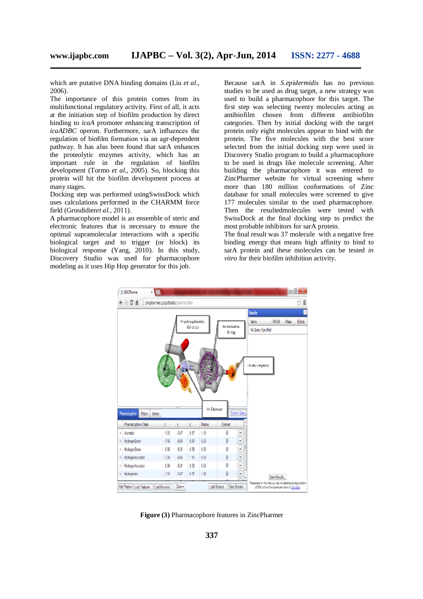which are putative DNA binding domains (Liu *et al*., 2006).

The importance of this protein comes from its multifunctional regulatory activity. First of all, it acts at the initiation step of biofilm production by direct binding to *icaA* promoter enhancing transcription of *icaADBC* operon. Furthermore, sarA influences the regulation of biofilm formation via an agr-dependent pathway. It has also been found that sarA enhances the proteolytic enzymes activity, which has an important rule in the regulation of biofilm development (Tormo *et al.*, 2005). So, blocking this protein will hit the biofilm development process at many stages.

Docking step was performed usingSwissDock which uses calculations performed in the CHARMM force field (Grosdidier*et al.*, 2011).

A pharmacophore model is an ensemble of steric and electronic features that is necessary to ensure the optimal supramolecular interactions with a specific biological target and to trigger (or block) its biological response (Yang, 2010). In this study, Discovery Studio was used for pharmacophore modeling as it uses Hip Hop generator for this job.

Because sarA in *S.epidermidis* has no previous studies to be used as drug target, a new strategy was used to build a pharmacophore for this target. The first step was selecting twenty molecules acting as antibiofilm chosen from different antibiofilm categories. Then by initial docking with the target protein only eight molecules appear to bind with the protein. The five molecules with the best score selected from the initial docking step were used in Discovery Studio program to build a pharmacophore to be used in drugs like molecule screening. After building the pharmacophore it was entered to ZincPharmer website for virtual screening where more than 180 million conformations of Zinc database for small molecules were screened to give 177 molecules similar to the used pharmacophore. Then the resultedmolecules were tested with SwissDock at the final docking step to predict the most probable inhibitors for sarA protein.

The final result was 37 molecule with a negative free binding energy that means high affinity to bind to sarA protein and these molecules can be tested *in vitro* for their biofilm inhibition activity.



**Figure (3)** Pharmacophore features in ZincPharmer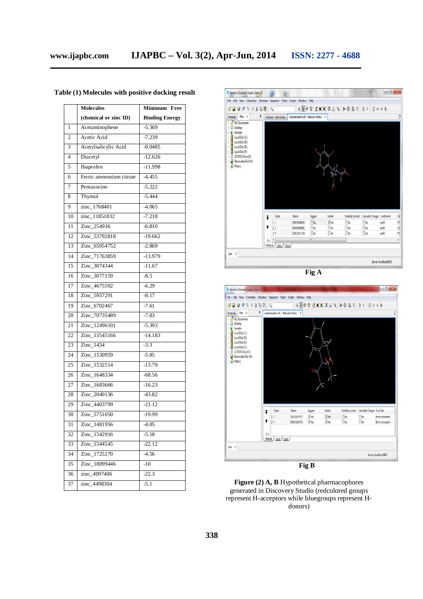|                 | <b>Molecules</b>        | Minimum Free          |
|-----------------|-------------------------|-----------------------|
|                 | (chemical or zinc ID)   | <b>Binding Energy</b> |
| 1               | Acetaminophene          | $-5.369$              |
| $\overline{c}$  | Acetic Acid             | $-7.239$              |
| $\overline{3}$  | Acetylsalicylic Acid    | $-0.0485$             |
| $\overline{4}$  | Diacetyl                | $-12.626$             |
| 5               | Ibuprofen               | $-11.998$             |
| 6               | Ferric ammonium citrate | $-4.455$              |
| $\overline{7}$  | Pentazocine             | $-5.222$              |
| 8               | Thymol                  | $-5.444$              |
| 9               | zinc_1768401            | $-4.065$              |
| 10              | zinc_11851832           | $-7.218$              |
| 11              | Zinc 254936             | $-6.810$              |
| 12              | Zinc_53792818           | $-19.662$             |
| 13              | Zinc 65054752           | $-2.869$              |
| 14              | Zinc 71763859           | $-13.979$             |
| $\overline{15}$ | Zinc_3074344            | $-11.67$              |
| 16              | Zinc_3077159            | $-8.5$                |
| 17              | Zinc 4675592            | $-6.29$               |
| 18              | Zinc 5957291            | $-8.17$               |
| 19              | Zinc 6702467            | $-7.61$               |
| 20              | Zinc_70735489           | $-7.83$               |
| 21              | Zinc_12496101           | $-5.393$              |
| 22              | Zinc 13545166           | $-14.183$             |
| 23              | Zinc_1454               | $-3.3$                |
| 24              | Zinc_1530959            | $-5.85$               |
| 25              | Zinc_1532514            | $-13.79$              |
| 26              | Zinc_1648334            | $-68.56$              |
| 27              | Zinc_1683666            | $-16.23$              |
| 28              | Zinc_2040136            | $-43.82$              |
| 29              | Zinc_4403799            | $-21.12$              |
| 30              | Zinc_5751050            | $-19.99$              |
| 31              | Zinc_1481956            | $-4.05$               |
| 32              | Zinc_1542916            | $-5.18$               |
| 33              | Zinc 1544545            | $-22.12$              |
| 34              | Zinc_1725270            | $-4.56$               |
| 35              | Zinc_18099446           | $-10$                 |
| 36              | zinc_4097406            | $-22.3$               |
| 37              | zinc_4498304            | $-5.1$                |

### **Table (1) Molecules with positive docking result**





**Figure (2) A, B** Hypothetical pharmacophores generated in Discovery Studio (redcolored groups represent H-acceptors while bluegroups represent Hdonors)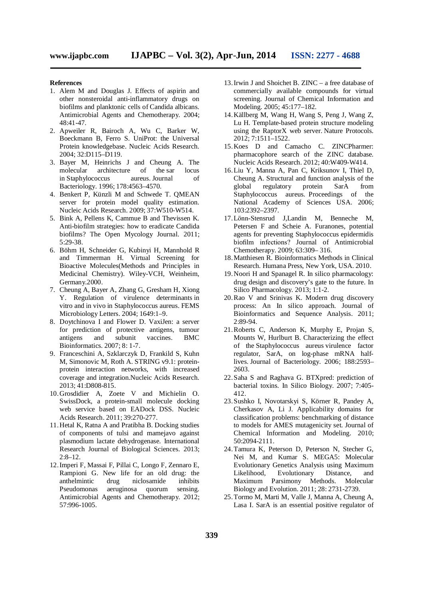### **References**

- 1. Alem M and Douglas J. Effects of aspirin and other nonsteroidal anti-inflammatory drugs on biofilms and planktonic cells of Candida albicans. Antimicrobial Agents and Chemotherapy. 2004; 48:41-47.
- 2. Apweiler R, Bairoch A, Wu C, Barker W, Boeckmann B, Ferro S. UniProt: the Universal Protein knowledgebase. Nucleic Acids Research. 2004; 32:D115–D119.
- 3. Bayer M, Heinrichs J and Cheung A. The molecular architecture of the sar locus in Staphylococcus aureus. Journal of Bacteriology. 1996; 178:4563–4570.
- 4. Benkert P, Künzli M and Schwede T. QMEAN server for protein model quality estimation. Nucleic Acids Research. 2009; 37:W510-W514.
- 5. Bink A, Pellens K, Cammue B and Thevissen K. Anti-biofilm strategies: how to eradicate Candida biofilms? The Open Mycology Journal. 2011; 5:29-38.
- 6. Böhm H, Schneider G, Kubinyi H, Mannhold R and Timmerman H. Virtual Screening for Bioactive Molecules(Methods and Principles in Medicinal Chemistry). Wiley-VCH, Weinheim, Germany.2000.
- 7. Cheung A, Bayer A, Zhang G, Gresham H, Xiong Y. Regulation of virulence determinants in vitro and in vivo in Staphylococcus aureus. FEMS Microbiology Letters. 2004; 1649:1–9.
- 8. Doytchinova I and Flower D. VaxiJen: a server for prediction of protective antigens, tumour antigens and subunit vaccines. BMC Bioinformatics. 2007; 8: 1-7.
- 9. Franceschini A, Szklarczyk D, Frankild S, Kuhn M, Simonovic M, Roth A. STRING v9.1: proteinprotein interaction networks, with increased coverage and integration.Nucleic Acids Research. 2013; 41:D808-815.
- 10.Grosdidier A, Zoete V and Michielin O. SwissDock, a protein-small molecule docking web service based on EADock DSS. Nucleic Acids Research. 2011; 39:270-277.
- 11.Hetal K, Ratna A and Pratibha B. Docking studies of components of tulsi and mamejavo against plasmodium lactate dehydrogenase. International Research Journal of Biological Sciences. 2013; 2:8–12.
- 12.Imperi F, Massai F, Pillai C, Longo F, Zennaro E, Rampioni G. New life for an old drug: the anthelmintic drug niclosamide inhibits Pseudomonas aeruginosa quorum sensing. Antimicrobial Agents and Chemotherapy. 2012; 57:996-1005.
- 13.Irwin J and Shoichet B. ZINC a free database of commercially available compounds for virtual screening. Journal of Chemical Information and Modeling. 2005; 45:177–182.
- 14.Källberg M, Wang H, Wang S, Peng J, Wang Z, Lu H. Template-based protein structure modeling using the RaptorX web server. Nature Protocols. 2012; 7:1511–1522.
- 15.Koes D and Camacho C. ZINCPharmer: pharmacophore search of the ZINC database. Nucleic Acids Research. 2012; 40:W409-W414.
- 16.Liu Y, Manna A, Pan C, Kriksunov I, Thiel D, Cheung A. Structural and function analysis of the<br>global regulatory protein SarA from global regulatory protein SarA from Staphylococcus aureus. Proceedings of the National Academy of Sciences USA. 2006; 103:2392–2397.
- 17.Lӧnn-Stensrud J,Landin M, Benneche M, Petersen F and Scheie A. Furanones, potential agents for preventing Staphylococcus epidermidis biofilm infections? Journal of Antimicrobial Chemotherapy. 2009; 63:309– 316.
- 18.Matthiesen R. Bioinformatics Methods in Clinical Research. Humana Press, New York, USA. 2010.
- 19.Noori H and Spanagel R. In silico pharmacology: drug design and discovery's gate to the future. In Silico Pharmacology. 2013; 1:1-2.
- 20.Rao V and Srinivas K. Modern drug discovery process: An In silico approach. Journal of Bioinformatics and Sequence Analysis. 2011; 2:89-94.
- 21.Roberts C, Anderson K, Murphy E, Projan S, Mounts W, Hurlburt B. Characterizing the effect of the Staphylococcus aureus virulence factor regulator, SarA, on log-phase mRNA halflives. Journal of Bacteriology. 2006; 188:2593– 2603.
- 22.Saha S and Raghava G. BTXpred: prediction of bacterial toxins. In Silico Biology. 2007; 7:405- 412.
- 23.Sushko I, Novotarskyi S, Körner R, Pandey A, Cherkasov A, Li J. Applicability domains for classification problems: benchmarking of distance to models for AMES mutagenicity set. Journal of Chemical Information and Modeling. 2010; 50:2094-2111.
- 24.Tamura K, Peterson D, Peterson N, Stecher G, Nei M, and Kumar S. MEGA5: Molecular Evolutionary Genetics Analysis using Maximum Likelihood, Evolutionary Distance, and Maximum Parsimony Methods. Molecular Biology and Evolution. 2011; 28: 2731-2739.
- 25.Tormo M, Marti M, Valle J, Manna A, Cheung A, Lasa I. SarA is an essential positive regulator of